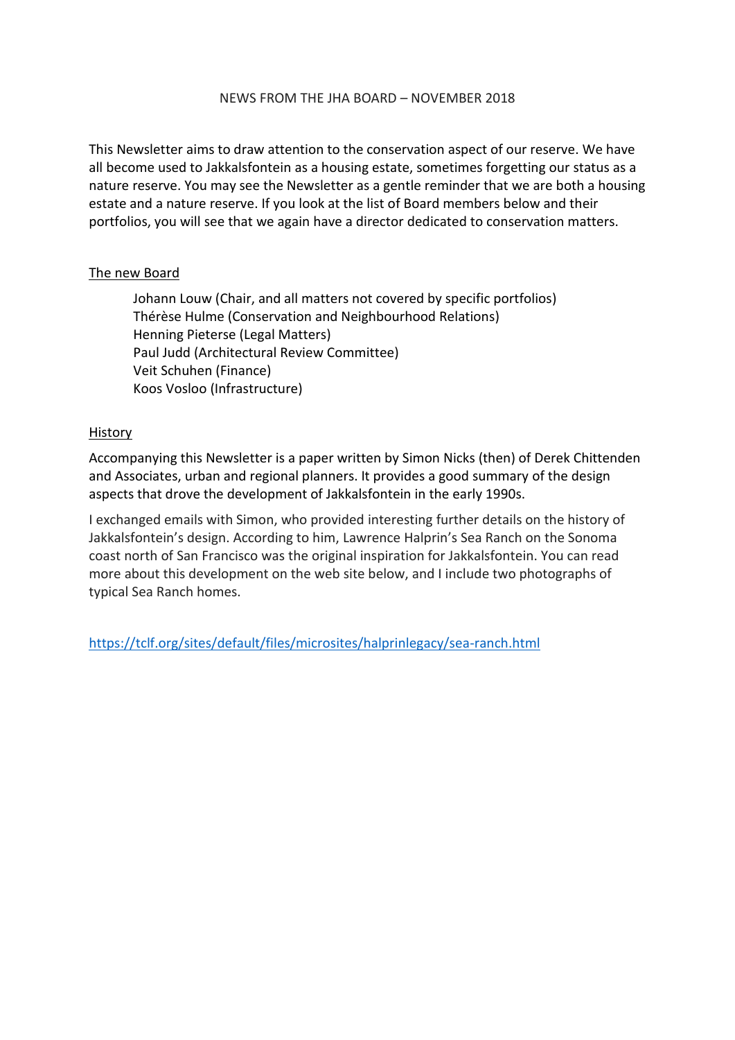#### NEWS FROM THE JHA BOARD – NOVEMBER 2018

This Newsletter aims to draw attention to the conservation aspect of our reserve. We have all become used to Jakkalsfontein as a housing estate, sometimes forgetting our status as a nature reserve. You may see the Newsletter as a gentle reminder that we are both a housing estate and a nature reserve. If you look at the list of Board members below and their portfolios, you will see that we again have a director dedicated to conservation matters.

## The new Board

Johann Louw (Chair, and all matters not covered by specific portfolios) Thérèse Hulme (Conservation and Neighbourhood Relations) Henning Pieterse (Legal Matters) Paul Judd (Architectural Review Committee) Veit Schuhen (Finance) Koos Vosloo (Infrastructure)

## History

Accompanying this Newsletter is a paper written by Simon Nicks (then) of Derek Chittenden and Associates, urban and regional planners. It provides a good summary of the design aspects that drove the development of Jakkalsfontein in the early 1990s.

I exchanged emails with Simon, who provided interesting further details on the history of Jakkalsfontein's design. According to him, Lawrence Halprin's Sea Ranch on the Sonoma coast north of San Francisco was the original inspiration for Jakkalsfontein. You can read more about this development on the web site below, and I include two photographs of typical Sea Ranch homes.

<https://tclf.org/sites/default/files/microsites/halprinlegacy/sea-ranch.html>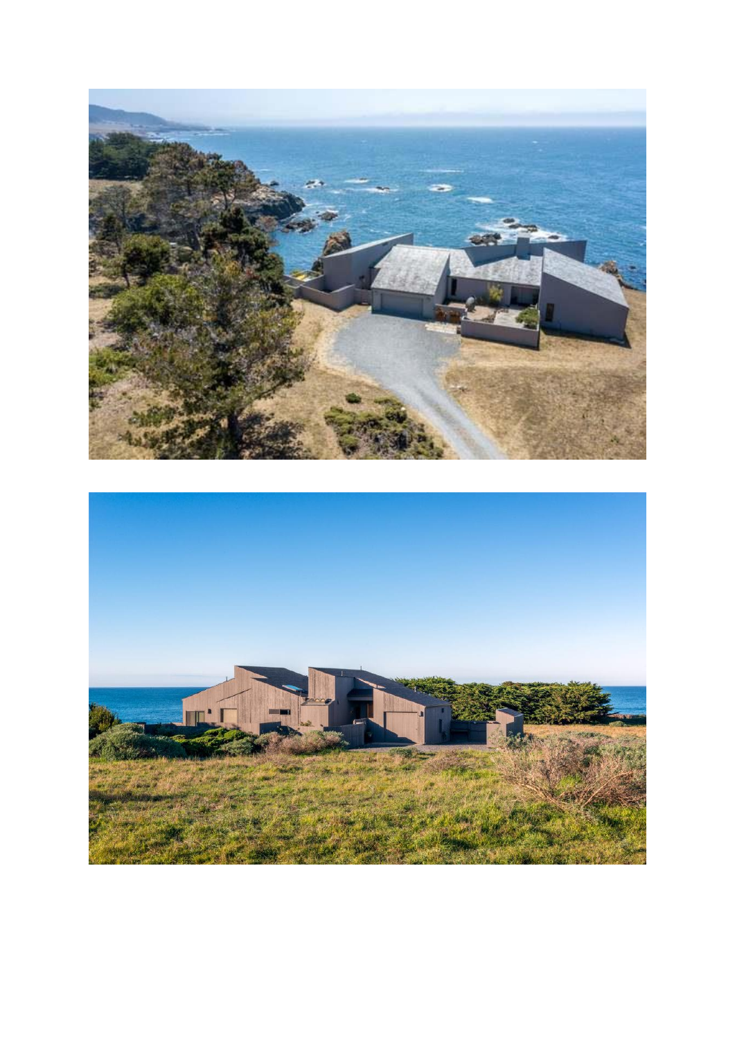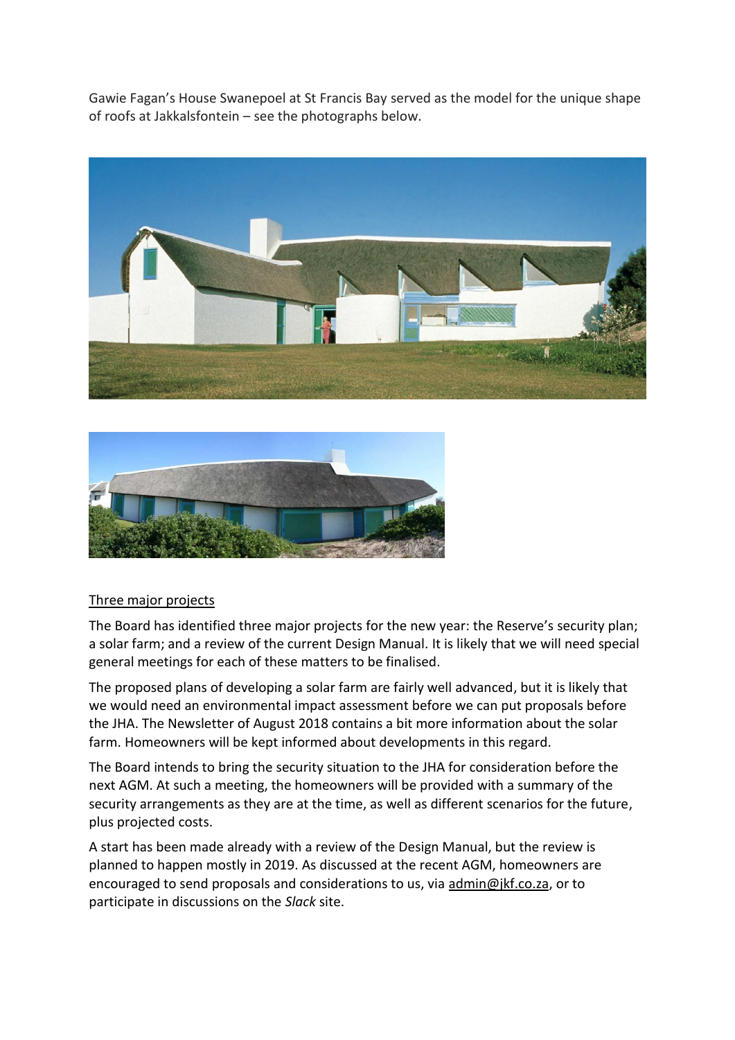Gawie Fagan's House Swanepoel at St Francis Bay served as the model for the unique shape of roofs at Jakkalsfontein – see the photographs below.





# Three major projects

The Board has identified three major projects for the new year: the Reserve's security plan; a solar farm; and a review of the current Design Manual. It is likely that we will need special general meetings for each of these matters to be finalised.

The proposed plans of developing a solar farm are fairly well advanced, but it is likely that we would need an environmental impact assessment before we can put proposals before the JHA. The Newsletter of August 2018 contains a bit more information about the solar farm. Homeowners will be kept informed about developments in this regard.

The Board intends to bring the security situation to the JHA for consideration before the next AGM. At such a meeting, the homeowners will be provided with a summary of the security arrangements as they are at the time, as well as different scenarios for the future, plus projected costs.

A start has been made already with a review of the Design Manual, but the review is planned to happen mostly in 2019. As discussed at the recent AGM, homeowners are encouraged to send proposals and considerations to us, via [admin@jkf.co.za,](mailto:admin@jkf.co.za) or to participate in discussions on the *Slack* site.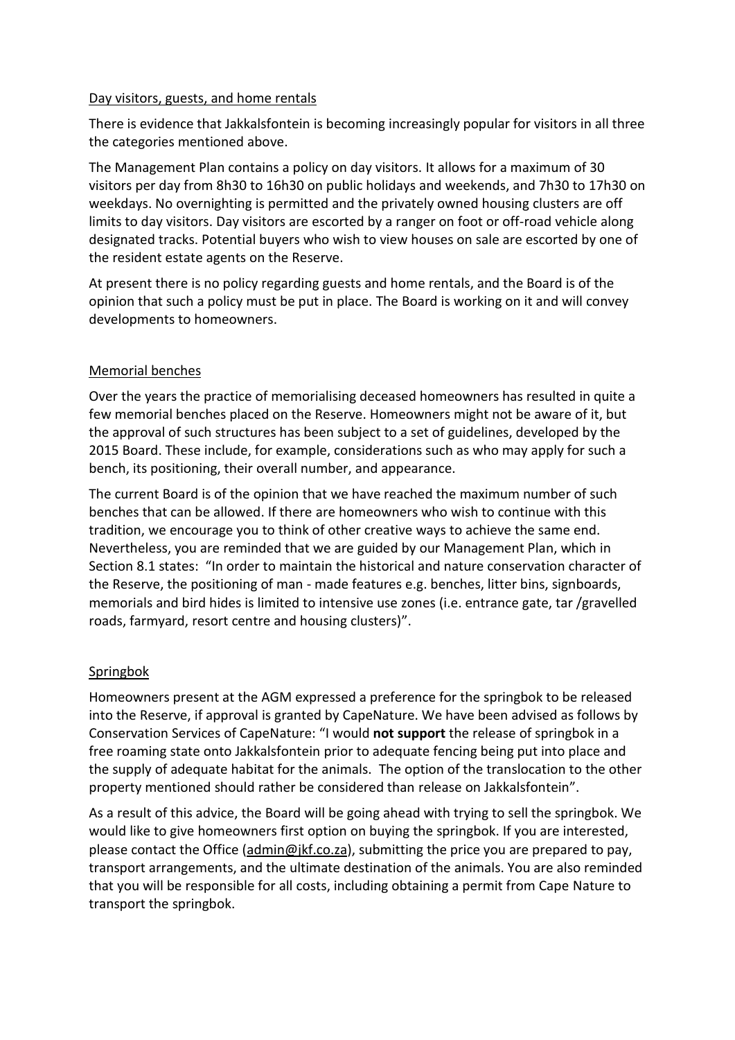### Day visitors, guests, and home rentals

There is evidence that Jakkalsfontein is becoming increasingly popular for visitors in all three the categories mentioned above.

The Management Plan contains a policy on day visitors. It allows for a maximum of 30 visitors per day from 8h30 to 16h30 on public holidays and weekends, and 7h30 to 17h30 on weekdays. No overnighting is permitted and the privately owned housing clusters are off limits to day visitors. Day visitors are escorted by a ranger on foot or off-road vehicle along designated tracks. Potential buyers who wish to view houses on sale are escorted by one of the resident estate agents on the Reserve.

At present there is no policy regarding guests and home rentals, and the Board is of the opinion that such a policy must be put in place. The Board is working on it and will convey developments to homeowners.

# Memorial benches

Over the years the practice of memorialising deceased homeowners has resulted in quite a few memorial benches placed on the Reserve. Homeowners might not be aware of it, but the approval of such structures has been subject to a set of guidelines, developed by the 2015 Board. These include, for example, considerations such as who may apply for such a bench, its positioning, their overall number, and appearance.

The current Board is of the opinion that we have reached the maximum number of such benches that can be allowed. If there are homeowners who wish to continue with this tradition, we encourage you to think of other creative ways to achieve the same end. Nevertheless, you are reminded that we are guided by our Management Plan, which in Section 8.1 states: "In order to maintain the historical and nature conservation character of the Reserve, the positioning of man - made features e.g. benches, litter bins, signboards, memorials and bird hides is limited to intensive use zones (i.e. entrance gate, tar /gravelled roads, farmyard, resort centre and housing clusters)".

# Springbok

Homeowners present at the AGM expressed a preference for the springbok to be released into the Reserve, if approval is granted by CapeNature. We have been advised as follows by Conservation Services of CapeNature: "I would **not support** the release of springbok in a free roaming state onto Jakkalsfontein prior to adequate fencing being put into place and the supply of adequate habitat for the animals. The option of the translocation to the other property mentioned should rather be considered than release on Jakkalsfontein".

As a result of this advice, the Board will be going ahead with trying to sell the springbok. We would like to give homeowners first option on buying the springbok. If you are interested, please contact the Office (admin@jkf.co.za), submitting the price you are prepared to pay, transport arrangements, and the ultimate destination of the animals. You are also reminded that you will be responsible for all costs, including obtaining a permit from Cape Nature to transport the springbok.